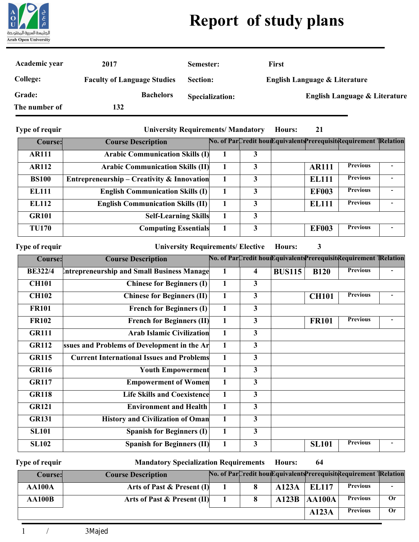

## **Report of study plans**

| Academic year   | 2017                               | Semester:              | First                                    |
|-----------------|------------------------------------|------------------------|------------------------------------------|
| <b>College:</b> | <b>Faculty of Language Studies</b> | Section:               | English Language & Literature            |
| Grade:          | <b>Bachelors</b>                   | <b>Specialization:</b> | <b>English Language &amp; Literature</b> |
| The number of   | 132                                |                        |                                          |

**Type of requir**

**University Requirements/ Mandatory Hours:**

| Course:      | <b>Course Description</b>                  |   | No. of ParCredit hou Equivalents Prerequisit Requirement TRelation |                 |  |
|--------------|--------------------------------------------|---|--------------------------------------------------------------------|-----------------|--|
| <b>AR111</b> | <b>Arabic Communication Skills (I)</b>     |   |                                                                    |                 |  |
| <b>AR112</b> | <b>Arabic Communication Skills (II)</b>    | 3 | <b>AR111</b>                                                       | <b>Previous</b> |  |
| <b>BS100</b> | Entrepreneurship – Creativity & Innovation | 3 | <b>EL111</b>                                                       | <b>Previous</b> |  |
| <b>EL111</b> | <b>English Communication Skills (I)</b>    | 3 | <b>EF003</b>                                                       | <b>Previous</b> |  |
| <b>EL112</b> | <b>English Communication Skills (II)</b>   | 3 | <b>EL111</b>                                                       | <b>Previous</b> |  |
| <b>GR101</b> | <b>Self-Learning Skills</b>                | 3 |                                                                    |                 |  |
| <b>TU170</b> | <b>Computing Essentials</b>                | 3 | <b>EF003</b>                                                       | <b>Previous</b> |  |

**Type of requir**

University Requirements/ Elective Hours:

| <b>Course:</b> | <b>Course Description</b>                        |              |                         |               |              | No. of ParCredit hou Equivalents Prerequisit Requirement TRelation |  |
|----------------|--------------------------------------------------|--------------|-------------------------|---------------|--------------|--------------------------------------------------------------------|--|
| <b>BE322/4</b> | Intrepreneurship and Small Business Manage       | 1            | $\overline{\mathbf{4}}$ | <b>BUS115</b> | <b>B120</b>  | <b>Previous</b>                                                    |  |
| <b>CH101</b>   | <b>Chinese for Beginners (I)</b>                 | 1            | 3                       |               |              |                                                                    |  |
| <b>CH102</b>   | <b>Chinese for Beginners (II)</b>                | 1            | $\mathbf{3}$            |               | <b>CH101</b> | <b>Previous</b>                                                    |  |
| <b>FR101</b>   | <b>French for Beginners (I)</b>                  | $\mathbf{1}$ | 3                       |               |              |                                                                    |  |
| <b>FR102</b>   | <b>French for Beginners (II)</b>                 | 1            | 3                       |               | <b>FR101</b> | <b>Previous</b>                                                    |  |
| <b>GR111</b>   | <b>Arab Islamic Civilization</b>                 | 1            | $\mathbf{3}$            |               |              |                                                                    |  |
| <b>GR112</b>   | ssues and Problems of Development in the Ar      | 1            | $\mathbf{3}$            |               |              |                                                                    |  |
| <b>GR115</b>   | <b>Current International Issues and Problems</b> |              | 3                       |               |              |                                                                    |  |
| <b>GR116</b>   | <b>Youth Empowerment</b>                         | $\mathbf{1}$ | $\overline{3}$          |               |              |                                                                    |  |
| <b>GR117</b>   | <b>Empowerment of Women</b>                      | 1            | $\mathbf{3}$            |               |              |                                                                    |  |
| <b>GR118</b>   | <b>Life Skills and Coexistence</b>               |              | $\overline{3}$          |               |              |                                                                    |  |
| <b>GR121</b>   | <b>Environment and Health</b>                    | $\mathbf{1}$ | $\mathbf{3}$            |               |              |                                                                    |  |
| <b>GR131</b>   | <b>History and Civilization of Oman</b>          | 1            | $\mathbf{3}$            |               |              |                                                                    |  |
| <b>SL101</b>   | <b>Spanish for Beginners (I)</b>                 | $\mathbf{1}$ | 3                       |               |              |                                                                    |  |
| <b>SL102</b>   | <b>Spanish for Beginners (II)</b>                | 1            | 3                       |               | <b>SL101</b> | <b>Previous</b>                                                    |  |

**Type of requir**

**Mandatory Specialization Requirements Hours:**

**64**

**21**

**3**

| Course:       | <b>Course Description</b>   |  |       |        | No. of ParCredit hou Equivalents Prerequisit Requirement TRelation |    |
|---------------|-----------------------------|--|-------|--------|--------------------------------------------------------------------|----|
| <b>AA100A</b> | Arts of Past & Present (I)  |  | A123A | EL 117 | <b>Previous</b>                                                    |    |
| <b>AA100B</b> | Arts of Past & Present (II) |  | A123B | AA100A | <b>Previous</b>                                                    | 0r |
|               |                             |  |       | A123A  | <b>Previous</b>                                                    | 0r |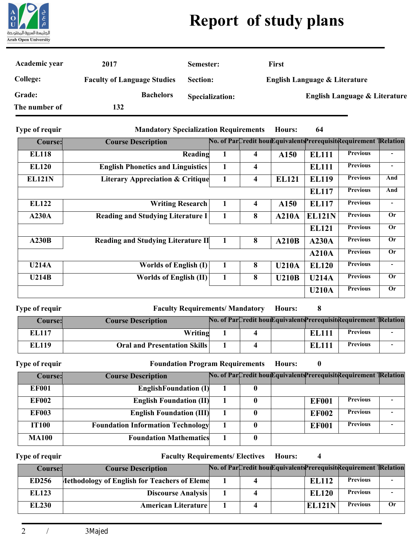

## **Report of study plans**

| Academic year         | 2017                               | Semester:                                    | <b>First</b>  |                                          |                                          |
|-----------------------|------------------------------------|----------------------------------------------|---------------|------------------------------------------|------------------------------------------|
| <b>College:</b>       | <b>Faculty of Language Studies</b> | <b>Section:</b>                              |               | <b>English Language &amp; Literature</b> |                                          |
| Grade:                | <b>Bachelors</b>                   | <b>Specialization:</b>                       |               |                                          | <b>English Language &amp; Literature</b> |
| The number of         | 132                                |                                              |               |                                          |                                          |
| <b>Type of requir</b> |                                    | <b>Mandatory Specialization Requirements</b> | <b>Hours:</b> | 64                                       |                                          |

**Type of requir**

**Mandatory Specialization Requirements Hours:**

| Course:       | <b>Course Description</b>                   |   |   |              |               | No. of ParCredit hou Equivalents Prerequisit Requirement TRelation |                          |
|---------------|---------------------------------------------|---|---|--------------|---------------|--------------------------------------------------------------------|--------------------------|
| <b>EL118</b>  | Reading                                     |   | 4 | A150         | <b>EL111</b>  | <b>Previous</b>                                                    |                          |
| <b>EL120</b>  | <b>English Phonetics and Linguistics</b>    |   | 4 |              | <b>EL111</b>  | <b>Previous</b>                                                    | $\overline{\phantom{a}}$ |
| <b>EL121N</b> | <b>Literary Appreciation &amp; Critique</b> | 1 | 4 | <b>EL121</b> | <b>EL119</b>  | <b>Previous</b>                                                    | And                      |
|               |                                             |   |   |              | <b>EL117</b>  | <b>Previous</b>                                                    | And                      |
| <b>EL122</b>  | <b>Writing Research</b>                     |   | 4 | A150         | <b>EL117</b>  | <b>Previous</b>                                                    |                          |
| A230A         | <b>Reading and Studying Literature I</b>    | 1 | 8 | A210A        | <b>EL121N</b> | <b>Previous</b>                                                    | <b>Or</b>                |
|               |                                             |   |   |              | <b>EL121</b>  | <b>Previous</b>                                                    | <b>Or</b>                |
| A230B         | <b>Reading and Studying Literature II</b>   |   | 8 | A210B        | A230A         | <b>Previous</b>                                                    | <b>Or</b>                |
|               |                                             |   |   |              | A210A         | <b>Previous</b>                                                    | <b>Or</b>                |
| <b>U214A</b>  | <b>Worlds of English (I)</b>                | 1 | 8 | <b>U210A</b> | <b>EL120</b>  | <b>Previous</b>                                                    | $\blacksquare$           |
| U214B         | <b>Worlds of English (II)</b>               | 1 | 8 | <b>U210B</b> | <b>U214A</b>  | <b>Previous</b>                                                    | <b>Or</b>                |
|               |                                             |   |   |              | <b>U210A</b>  | <b>Previous</b>                                                    | <b>Or</b>                |

**Type of requir**

**Faculty Requirements/ Mandatory Hours:**

**8**

| Course: | <b>Course Description</b>           |  |              | No. of ParCredit hou Equivalents Prerequisit Requirement TRelation |  |
|---------|-------------------------------------|--|--------------|--------------------------------------------------------------------|--|
| EL 117  | Writing                             |  | <b>EL111</b> | <b>Previous</b>                                                    |  |
| EL119   | <b>Oral and Presentation Skills</b> |  | <b>EL111</b> | <b>Previous</b>                                                    |  |

**Type of requir**

**Foundation Program Requirements**

**0 Hours:**

**4**

| Course:      | <b>Course Description</b>                |   |              | No. of ParCredit hou Equivalents Prerequisit Requirement TRelation |  |
|--------------|------------------------------------------|---|--------------|--------------------------------------------------------------------|--|
| <b>EF001</b> | <b>EnglishFoundation (I)</b>             |   |              |                                                                    |  |
| <b>EF002</b> | <b>English Foundation (II)</b>           |   | <b>EF001</b> | <b>Previous</b>                                                    |  |
| <b>EF003</b> | <b>English Foundation (III)</b>          |   | <b>EF002</b> | <b>Previous</b>                                                    |  |
| <b>IT100</b> | <b>Foundation Information Technology</b> |   | <b>EF001</b> | <b>Previous</b>                                                    |  |
| <b>MA100</b> | <b>Foundation Mathematics</b>            | 0 |              |                                                                    |  |

**Type of requir**

**Faculty Requirements/ Electives Hours:**

| <b>Course:</b> | <b>Course Description</b> |  |               | No. of ParCredit hou Equivalents Prerequisit Requirement TRelation |    |
|----------------|---------------------------|--|---------------|--------------------------------------------------------------------|----|
| <b>ED256</b>   |                           |  | <b>EL112</b>  | <b>Previous</b>                                                    |    |
| <b>EL123</b>   | Discourse Analysis        |  | <b>EL120</b>  | <b>Previous</b>                                                    |    |
| <b>EL230</b>   | American Literature       |  | <b>EL121N</b> | <b>Previous</b>                                                    | Оr |